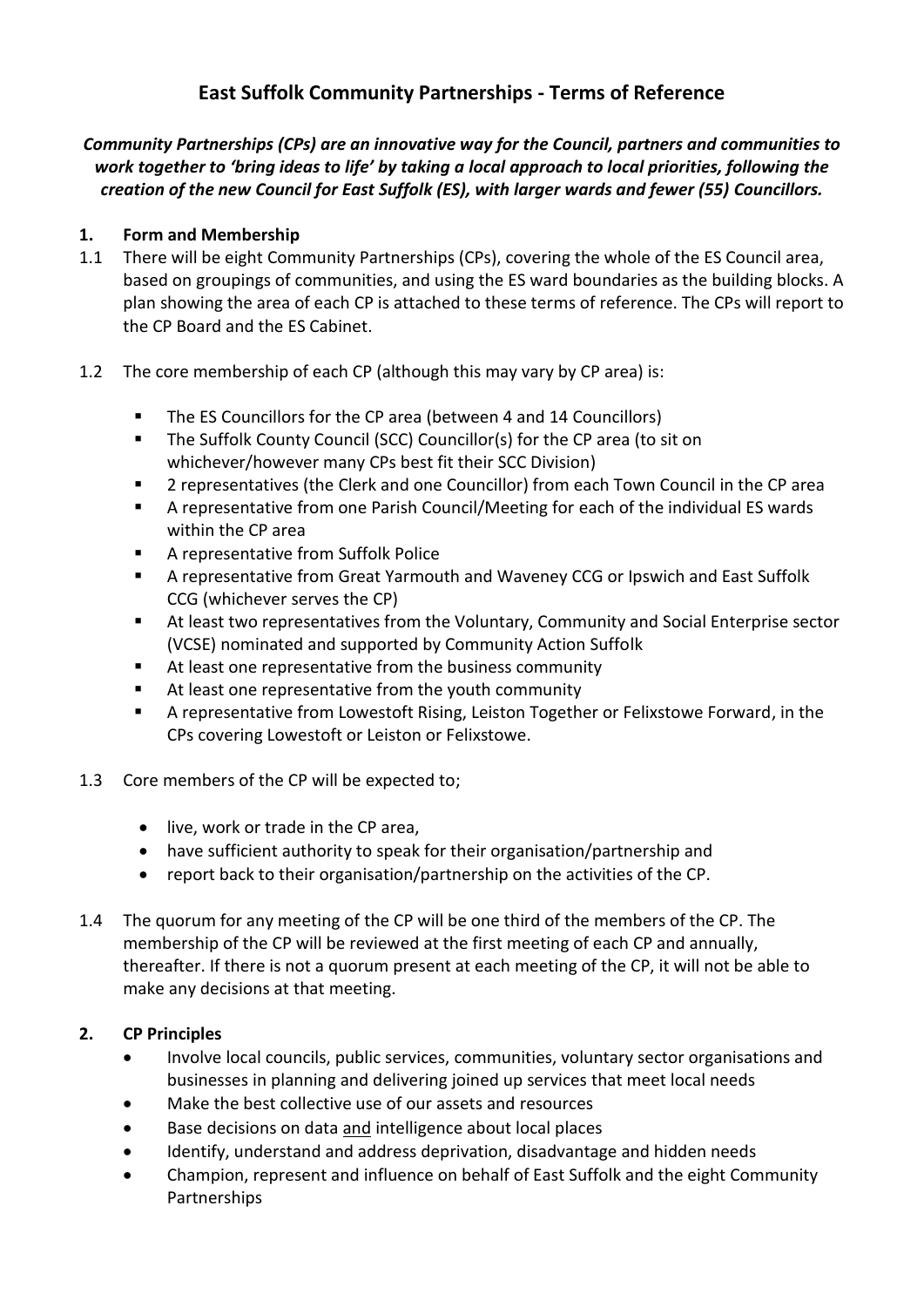# **East Suffolk Community Partnerships - Terms of Reference**

*Community Partnerships (CPs) are an innovative way for the Council, partners and communities to work together to 'bring ideas to life' by taking a local approach to local priorities, following the creation of the new Council for East Suffolk (ES), with larger wards and fewer (55) Councillors.* 

#### **1. Form and Membership**

- 1.1 There will be eight Community Partnerships (CPs), covering the whole of the ES Council area, based on groupings of communities, and using the ES ward boundaries as the building blocks. A plan showing the area of each CP is attached to these terms of reference. The CPs will report to the CP Board and the ES Cabinet.
- 1.2 The core membership of each CP (although this may vary by CP area) is:
	- The ES Councillors for the CP area (between 4 and 14 Councillors)
	- The Suffolk County Council (SCC) Councillor(s) for the CP area (to sit on whichever/however many CPs best fit their SCC Division)
	- 2 representatives (the Clerk and one Councillor) from each Town Council in the CP area
	- A representative from one Parish Council/Meeting for each of the individual ES wards within the CP area
	- A representative from Suffolk Police
	- A representative from Great Yarmouth and Waveney CCG or Ipswich and East Suffolk CCG (whichever serves the CP)
	- At least two representatives from the Voluntary, Community and Social Enterprise sector (VCSE) nominated and supported by Community Action Suffolk
	- At least one representative from the business community
	- At least one representative from the youth community
	- A representative from Lowestoft Rising, Leiston Together or Felixstowe Forward, in the CPs covering Lowestoft or Leiston or Felixstowe.
- 1.3 Core members of the CP will be expected to;
	- live, work or trade in the CP area,
	- have sufficient authority to speak for their organisation/partnership and
	- report back to their organisation/partnership on the activities of the CP.
- 1.4 The quorum for any meeting of the CP will be one third of the members of the CP. The membership of the CP will be reviewed at the first meeting of each CP and annually, thereafter. If there is not a quorum present at each meeting of the CP, it will not be able to make any decisions at that meeting.

#### **2. CP Principles**

- Involve local councils, public services, communities, voluntary sector organisations and businesses in planning and delivering joined up services that meet local needs
- Make the best collective use of our assets and resources
- Base decisions on data and intelligence about local places
- Identify, understand and address deprivation, disadvantage and hidden needs
- Champion, represent and influence on behalf of East Suffolk and the eight Community Partnerships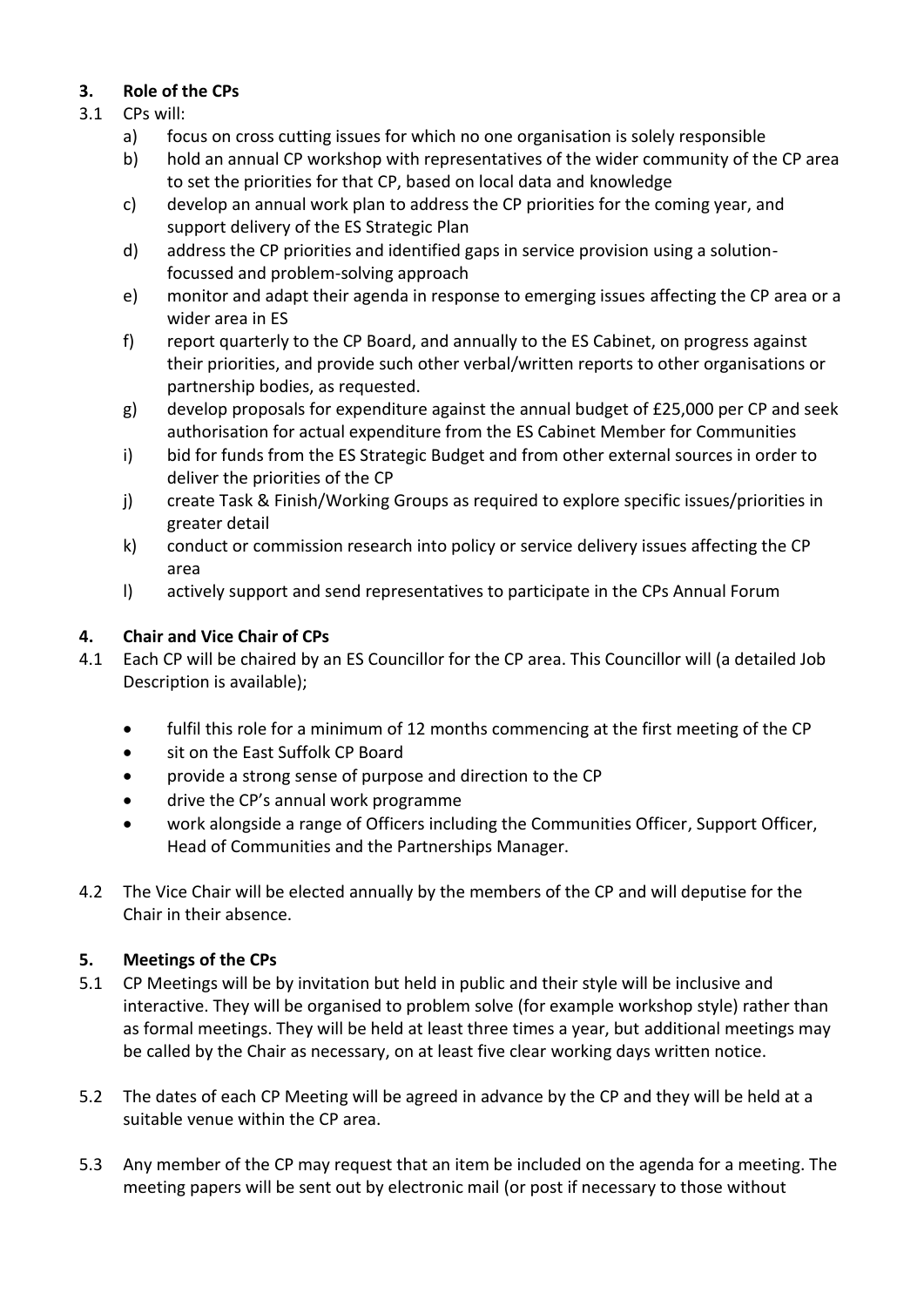## **3. Role of the CPs**

- 3.1 CPs will:
	- a) focus on cross cutting issues for which no one organisation is solely responsible
	- b) hold an annual CP workshop with representatives of the wider community of the CP area to set the priorities for that CP, based on local data and knowledge
	- c) develop an annual work plan to address the CP priorities for the coming year, and support delivery of the ES Strategic Plan
	- d) address the CP priorities and identified gaps in service provision using a solutionfocussed and problem-solving approach
	- e) monitor and adapt their agenda in response to emerging issues affecting the CP area or a wider area in ES
	- f) report quarterly to the CP Board, and annually to the ES Cabinet, on progress against their priorities, and provide such other verbal/written reports to other organisations or partnership bodies, as requested.
	- g) develop proposals for expenditure against the annual budget of £25,000 per CP and seek authorisation for actual expenditure from the ES Cabinet Member for Communities
	- i) bid for funds from the ES Strategic Budget and from other external sources in order to deliver the priorities of the CP
	- j) create Task & Finish/Working Groups as required to explore specific issues/priorities in greater detail
	- k) conduct or commission research into policy or service delivery issues affecting the CP area
	- l) actively support and send representatives to participate in the CPs Annual Forum

## **4. Chair and Vice Chair of CPs**

- 4.1 Each CP will be chaired by an ES Councillor for the CP area. This Councillor will (a detailed Job Description is available);
	- fulfil this role for a minimum of 12 months commencing at the first meeting of the CP
	- sit on the East Suffolk CP Board
	- provide a strong sense of purpose and direction to the CP
	- drive the CP's annual work programme
	- work alongside a range of Officers including the Communities Officer, Support Officer, Head of Communities and the Partnerships Manager.
- 4.2 The Vice Chair will be elected annually by the members of the CP and will deputise for the Chair in their absence.

### **5. Meetings of the CPs**

- 5.1 CP Meetings will be by invitation but held in public and their style will be inclusive and interactive. They will be organised to problem solve (for example workshop style) rather than as formal meetings. They will be held at least three times a year, but additional meetings may be called by the Chair as necessary, on at least five clear working days written notice.
- 5.2 The dates of each CP Meeting will be agreed in advance by the CP and they will be held at a suitable venue within the CP area.
- 5.3 Any member of the CP may request that an item be included on the agenda for a meeting. The meeting papers will be sent out by electronic mail (or post if necessary to those without